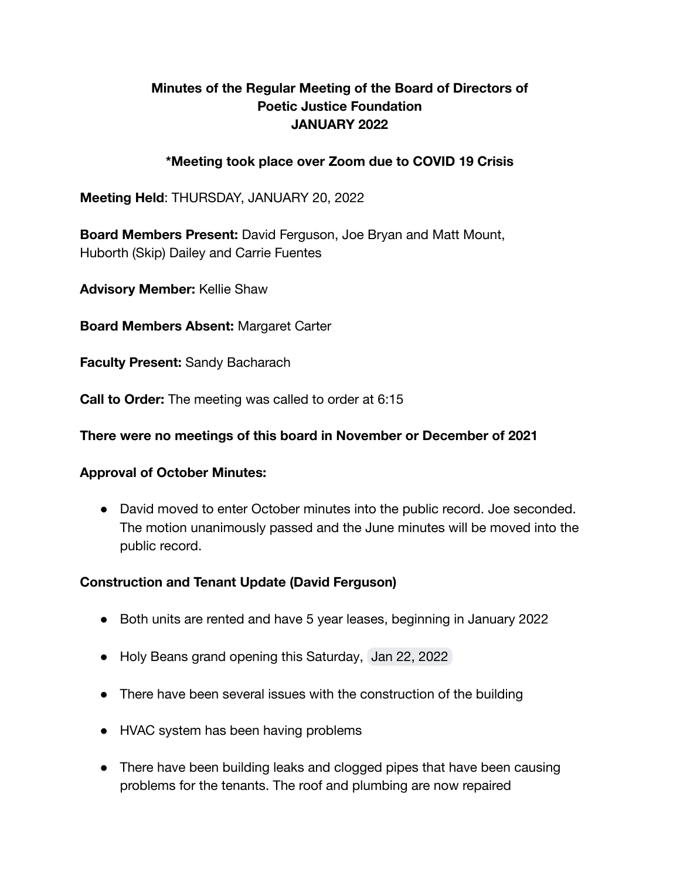# **Minutes of the Regular Meeting of the Board of Directors of Poetic Justice Foundation JANUARY 2022**

# **\*Meeting took place over Zoom due to COVID 19 Crisis**

**Meeting Held**: THURSDAY, JANUARY 20, 2022

**Board Members Present:** David Ferguson, Joe Bryan and Matt Mount, Huborth (Skip) Dailey and Carrie Fuentes

**Advisory Member:** Kellie Shaw

**Board Members Absent:** Margaret Carter

**Faculty Present:** Sandy Bacharach

**Call to Order:** The meeting was called to order at 6:15

#### **There were no meetings of this board in November or December of 2021**

### **Approval of October Minutes:**

● David moved to enter October minutes into the public record. Joe seconded. The motion unanimously passed and the June minutes will be moved into the public record.

### **Construction and Tenant Update (David Ferguson)**

- Both units are rented and have 5 year leases, beginning in January 2022
- Holy Beans grand opening this Saturday, Jan 22, 2022
- There have been several issues with the construction of the building
- HVAC system has been having problems
- There have been building leaks and clogged pipes that have been causing problems for the tenants. The roof and plumbing are now repaired